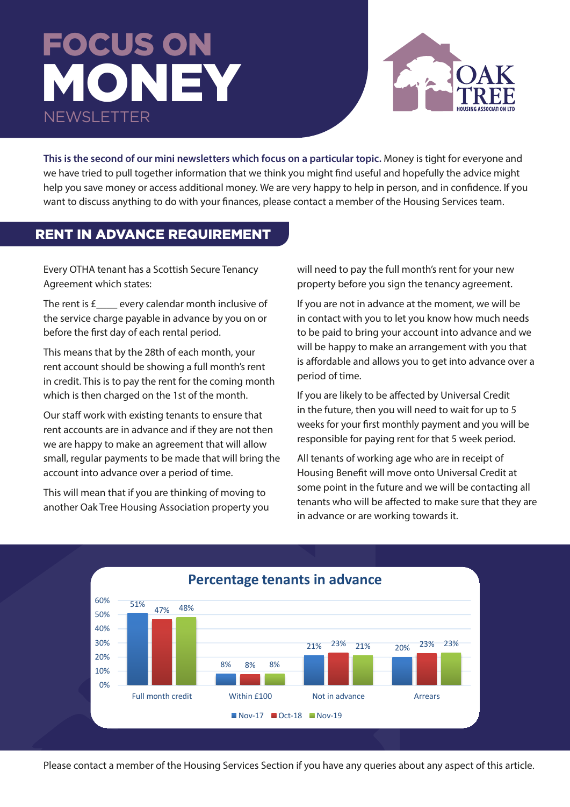# FOCUS ON MONEY NEWSLETTER



This is the second of our mini newsletters which focus on a particular topic. Money is tight for everyone and we have tried to pull together information that we think you might find useful and hopefully the advice might help you save money or access additional money. We are very happy to help in person, and in confidence. If you want to discuss anything to do with your finances, please contact a member of the Housing Services team.

# RENT IN ADVANCE REQUIREMENT **that by the 28th of each month, you**r rent account showing a full showing a full showing a full showing a full showing a full showing a full showing a full showing a full showing a full showing

**Rent in Advance Requirement**

Every OTHA tenant has a Scottish Secure Tenancy Agreement which states:

The rent is  $f_{\text{max}}$  every calendar month inclusive of the service charge payable in advance by you on or before the first day of each rental period.

This means that by the 28th of each month, your rent account should be showing a full month's rent **property** before the tenancy of time in the tenancy of time i in credit. This is to pay the rent for the coming month which is then charged on the 1st of the month.

Our staff work with existing tenants to ensure that rent accounts are in advance and if they are not then rent accounts are in advance and ir tiney are not the.<br>we are happy to make an agreement that will allow small, regular payments to be made that will bring the account into advance over a period of time.

This will mean that if you are thinking of moving to another Oak Tree Housing Association property you

will need to pay the full month's rent for your new property before you sign the tenancy agreement. our station with existing tenants to ensure the rent and if and if and if and if and if and if and if and if a<br>if and if and if and if and if and if and if and if and if and if and if and if and if and if and if and if an

 $f_{\text{max}}$  every calendar month inclusive of lightly you are not in advance at the moment, we will be echarge payable in advance by you on or sto in contact with you to let you know how much needs to be paid to bring your account into advance and we r that by the 29th of each meath your will be happy to make an arrangement with you that s that by the zour or each month, you<br>In t chould be chowing a full month's rent **the full of a** is affordable and allows you to get into advance over a period of time.

ien charged on the 1st of the month. If you are likely to be affected by Universal Credit work with existing tenants to ensure that  $\frac{1}{2}$  in the future, then you will need to wait for up to 5 Inte are in advance and if they are not then weeks for your first monthly payment and you will be responsible for paying rent for that 5 week period.

I ar payments to be made that will bring the All tenants of working age who are in receipt of to advance over a period of time. **Ware setting** Housing Benefit will move onto Universal Credit at some point in the future and we will be contacting all tenants who will be affected to make sure that they are and ten advance or are working towards it.



will be a finite sure that they are in advance or any  $\mathcal{N}$  are working towards it. They are working towards it.

Please contact a member of the Housing Services Section if you have any queries about any aspect of this article.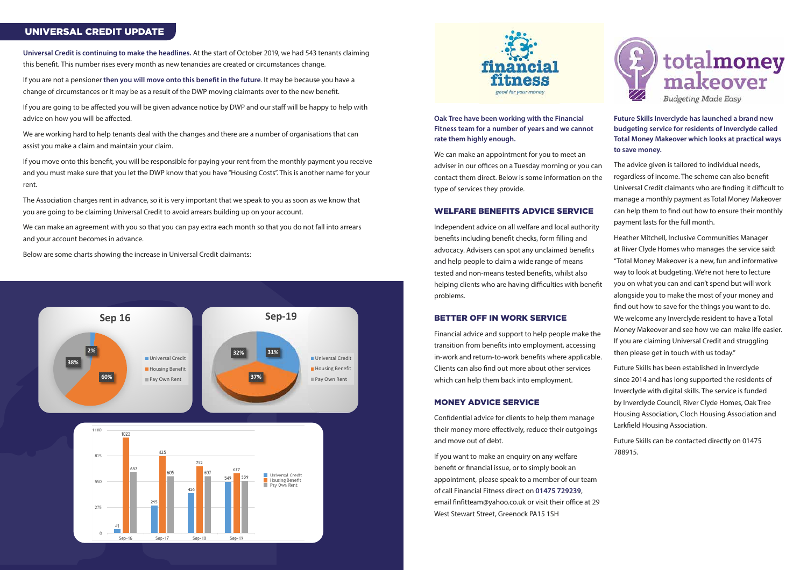**Universal Credit is continuing to make the headlines.** At the start of October 2019, we had 543 tenants claiming this benefit. This number rises every month as new tenancies are created or circumstances change.

If you are not a pensioner **then you will move onto this benefit in the future**. It may be because you have a change of circumstances or it may be as a result of the DWP moving claimants over to the new benefit.

If you move onto this benefit, you will be responsible for paying your rent from the monthly payment you receive and you must make sure that you let the DWP know that you have "Housing Costs". This is another name for your rent.

If you are going to be affected you will be given advance notice by DWP and our staff will be happy to help with advice on how you will be affected.

We are working hard to help tenants deal with the changes and there are a number of organisations that can assist you make a claim and maintain your claim.  $H$ ousing Benefit and manitum your claim.

The Association charges rent in advance, so it is very important that we speak to you as soon as we know that you are going to be claiming Universal Credit to avoid arrears building up on your account.

**Oak Tree have been working with the Financial Fitness team for a number of years and we cannot rate them highly enough.** 

We can make an appointment for you to meet an adviser in our offices on a Tuesday morning or you can contact them direct. Below is some information on the type of services they provide.

#### WELFARE BENEFITS ADVICE SERVICE

Independent advice on all welfare and local authority benefits including benefit checks, form filling and advocacy. Advisers can spot any unclaimed benefits and help people to claim a wide range of means tested and non-means tested benefits, whilst also helping clients who are having difficulties with benefit problems.

# BETTER OFF IN WORK SERVICE

Financial advice and support to help people make the transition from benefits into employment, accessing 200 in-work and return-to-work benefits where applicable. Clients can also find out more about other services which can help them back into employment. Derients Wi

#### MONEY ADVICE SERVICE

Confidential advice for clients to help them manage their money more effectively, reduce their outgoings and move out of debt.

If you want to make an enquiry on any welfare benefit or financial issue, or to simply book an appointment, please speak to a member of our team of call Financial Fitness direct on **01475 729239**, email finfitteam@yahoo.co.uk or visit their office at 29 West Stewart Street, Greenock PA15 1SH



**Future Skills Inverclyde has launched a brand new budgeting service for residents of Inverclyde called Total Money Makeover which looks at practical ways to save money.**

We can make an agreement with you so that you can pay extra each month so that you do not fall into arrears **2% 17%** and your account becomes in advance. **38%** Universal Credit

Below are some charts showing the increase in Universal Credit claimants:

The advice given is tailored to individual needs, regardless of income. The scheme can also benefit Universal Credit claimants who are finding it difficult to manage a monthly payment as Total Money Makeover can help them to find out how to ensure their monthly payment lasts for the full month.

Heather Mitchell, Inclusive Communities Manager at River Clyde Homes who manages the service said: "Total Money Makeover is a new, fun and informative way to look at budgeting. We're not here to lecture you on what you can and can't spend but will work alongside you to make the most of your money and find out how to save for the things you want to do. We welcome any Inverclyde resident to have a Total Money Makeover and see how we can make life easier. If you are claiming Universal Credit and struggling then please get in touch with us today."

Future Skills has been established in Inverclyde since 2014 and has long supported the residents of Inverclyde with digital skills. The service is funded by Inverclyde Council, River Clyde Homes, Oak Tree Housing Association, Cloch Housing Association and Larkfield Housing Association.

Future Skills can be contacted directly on 01475 788915.

# UNIVERSAL CREDIT UPDATE



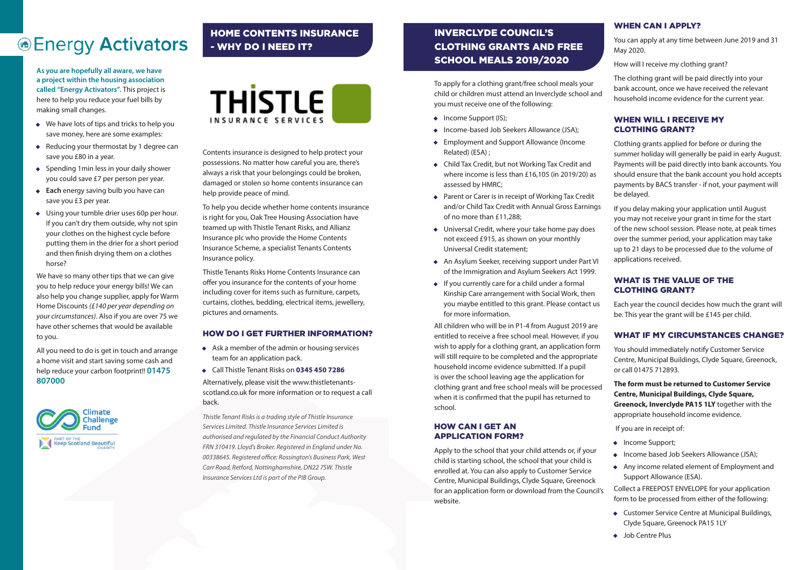# INVERCLYDE COUNCIL'S CLOTHING GRANTS AND FREE SCHOOL MEALS 2019/2020

# *®Energy Activators*

**As you are hopefully all aware, we have a project within the housing association called "Energy Activators".** This project is here to help you reduce your fuel bills by making small changes.

- We have lots of tips and tricks to help you save money, here are some examples:
- Reducing your thermostat by 1 degree can save you £80 in a year.
- Spending 1 min less in your daily shower you could save £7 per person per year.
- **Each** energy saving bulb you have can save you £3 per year.
- Using your tumble drier uses 60p per hour. If you can't dry them outside, why not spin your clothes on the highest cycle before putting them in the drier for a short period and then finish drying them on a clothes horse?

We have so many other tips that we can give you to help reduce your energy bills! We can also help you change supplier, apply for Warm Home Discounts *(£140 per year depending on your circumstances)*. Also if you are over 75 we have other schemes that would be available to you.

- Income Support (IS);
- Income-based Job Seekers Allowance (JSA);
- Employment and Support Allowance (Income Related) (ESA) ;
- Child Tax Credit, but not Working Tax Credit and where income is less than £16,105 (in 2019/20) as assessed by HMRC;
- Parent or Carer is in receipt of Working Tax Credit and/or Child Tax Credit with Annual Gross Earnings of no more than £11,288;
- Universal Credit, where your take home pay does not exceed £915, as shown on your monthly Universal Credit statement;
- An Asylum Seeker, receiving support under Part VI of the Immigration and Asylum Seekers Act 1999.
- If you currently care for a child under a formal Kinship Care arrangement with Social Work, then you maybe entitled to this grant. Please contact us for more information.

All you need to do is get in touch and arrange a home visit and start saving some cash and help reduce your carbon footprint!! **01475 807000**



To apply for a clothing grant/free school meals your child or children must attend an Inverclyde school and you must receive one of the following:

- Income Support;
- 
- Any income related element of Employment and
- Customer Service Centre at Municipal Buildings, Clyde Square, Greenock PA15 1LY
- Job Centre Plus

All children who will be in P1-4 from August 2019 are entitled to receive a free school meal. However, if you wish to apply for a clothing grant, an application form will still require to be completed and the appropriate household income evidence submitted. If a pupil is over the school leaving age the application for clothing grant and free school meals will be processed when it is confirmed that the pupil has returned to school.

#### HOW CAN I GET AN APPLICATION FORM?

# WHEN CAN I APPLY?

You can apply at any time between June 2019 and 31 May 2020.

How will I receive my clothing grant?

The clothing grant will be paid directly into your bank account, once we have received the relevant household income evidence for the current year.

#### WHEN WILL I RECEIVE MY CLOTHING GRANT?

Clothing grants applied for before or during the summer holiday will generally be paid in early August. Payments will be paid directly into bank accounts. You should ensure that the bank account you hold accepts payments by BACS transfer - if not, your payment will be delayed.

Apply to the school that your child attends or, if your child is starting school, the school that your child is enrolled at. You can also apply to Customer Service Centre, Municipal Buildings, Clyde Square, Greenock for an application form or download from the Council's website. • Income based Job Seekers Allowance (JSA); Support Allowance (ESA). Collect a FREEPOST ENVELOPE for your application form to be processed from either of the following:

If you delay making your application until August you may not receive your grant in time for the start of the new school session. Please note, at peak times over the summer period, your application may take up to 21 days to be processed due to the volume of applications received.

#### WHAT IS THE VALUE OF THE CLOTHING GRANT?

Each year the council decides how much the grant will be. This year the grant will be £145 per child.

# WHAT IF MY CIRCUMSTANCES CHANGE?

You should immediately notify Customer Service Centre, Municipal Buildings, Clyde Square, Greenock, or call 01475 712893.

**The form must be returned to Customer Service Centre, Municipal Buildings, Clyde Square, Greenock, Inverclyde PA15 1LY** together with the appropriate household income evidence.

If you are in receipt of:

# HOME CONTENTS INSURANCE - WHY DO I NEED IT?



Contents insurance is designed to help protect your possessions. No matter how careful you are, there's always a risk that your belongings could be broken, damaged or stolen so home contents insurance can help provide peace of mind.

To help you decide whether home contents insurance is right for you, Oak Tree Housing Association have teamed up with Thistle Tenant Risks, and Allianz Insurance plc who provide the Home Contents Insurance Scheme, a specialist Tenants Contents Insurance policy.

Thistle Tenants Risks Home Contents Insurance can offer you insurance for the contents of your home including cover for items such as furniture, carpets, curtains, clothes, bedding, electrical items, jewellery, pictures and ornaments.

#### HOW DO I GET FURTHER INFORMATION?

- Ask a member of the admin or housing services team for an application pack.
- Call Thistle Tenant Risks on **0345 450 7286**

Alternatively, please visit the www.thistletenantsscotland.co.uk for more information or to request a call back.

*Thistle Tenant Risks is a trading style of Thistle Insurance Services Limited. Thistle Insurance Services Limited is authorised and regulated by the Financial Conduct Authority FRN 310419. Lloyd's Broker. Registered in England under No. 00338645. Registered office: Rossington's Business Park, West Carr Road, Retford, Nottinghamshire, DN22 7SW. Thistle Insurance Services Ltd is part of the PIB Group.*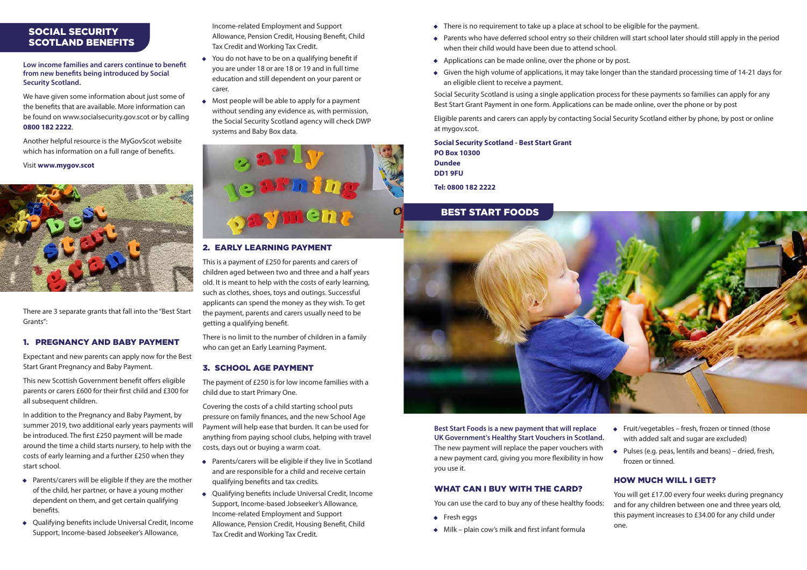Income-related Employment and Support Allowance, Pension Credit, Housing Benefit, Child Tax Credit and Working Tax Credit.

- You do not have to be on a qualifying benefit if you are under 18 or are 18 or 19 and in full time education and still dependent on your parent or carer.
- Most people will be able to apply for a payment without sending any evidence as, with permission, the Social Security Scotland agency will check DWP systems and Baby Box data.



There is no limit to the number of children in a family who can get an Early Learning Payment.

#### 2. EARLY LEARNING PAYMENT

This is a payment of £250 for parents and carers of children aged between two and three and a half years old. It is meant to help with the costs of early learning, such as clothes, shoes, toys and outings. Successful applicants can spend the money as they wish. To get the payment, parents and carers usually need to be getting a qualifying benefit.

#### 3. SCHOOL AGE PAYMENT

The payment of £250 is for low income families with a child due to start Primary One.

Covering the costs of a child starting school puts pressure on family finances, and the new School Age Payment will help ease that burden. It can be used for anything from paying school clubs, helping with travel costs, days out or buying a warm coat.

- Parents/carers will be eligible if they live in Scotland and are responsible for a child and receive certain qualifying benefits and tax credits.
- Qualifying benefits include Universal Credit, Income Support, Income-based Jobseeker's Allowance, Income-related Employment and Support Allowance, Pension Credit, Housing Benefit, Child Tax Credit and Working Tax Credit.
- There is no requirement to take up a place at school to be eligible for the payment.
- Parents who have deferred school entry so their children will start school later should still apply in the period when their child would have been due to attend school.
- Applications can be made online, over the phone or by post.
- Given the high volume of applications, it may take longer than the standard processing time of 14-21 days for an eligible client to receive a payment.

Social Security Scotland is using a single application process for these payments so families can apply for any Best Start Grant Payment in one form. Applications can be made online, over the phone or by post

- 
- 
- Eligible parents and carers can apply by contacting Social Security Scotland either by phone, by post or online

at mygov.scot.

**Social Security Scotland - Best Start Grant PO Box 10300 Dundee DD1 9FU Tel: 0800 182 2222**

**Best Start Foods is a new payment that will replace UK Government's Healthy Start Vouchers in Scotland.**  The new payment will replace the paper vouchers with a new payment card, giving you more flexibility in how you use it.

#### WHAT CAN I BUY WITH THE CARD?

- 
- Milk plain cow's milk and first infant formula

# BEST START FOODS



### SOCIAL SECURITY SCOTLAND BENEFITS

**Low income families and carers continue to benefit from new benefits being introduced by Social Security Scotland.**

We have given some information about just some of the benefits that are available. More information can be found on www.socialsecurity.gov.scot or by calling **0800 182 2222**.

Another helpful resource is the MyGovScot website which has information on a full range of benefits.

Visit **www.mygov.scot**



There are 3 separate grants that fall into the "Best Start Grants":

#### 1. PREGNANCY AND BABY PAYMENT

Expectant and new parents can apply now for the Best Start Grant Pregnancy and Baby Payment.

This new Scottish Government benefit offers eligible parents or carers £600 for their first child and £300 for all subsequent children.

> You can use the card to buy any of these healthy foods: • Fresh eggs You will get £17.00 every four weeks during pregnancy and for any children between one and three years old, this payment increases to £34.00 for any child under one.

In addition to the Pregnancy and Baby Payment, by summer 2019, two additional early years payments will be introduced. The first £250 payment will be made around the time a child starts nursery, to help with the costs of early learning and a further £250 when they start school.

- Parents/carers will be eligible if they are the mother of the child, her partner, or have a young mother dependent on them, and get certain qualifying benefits.
- Qualifying benefits include Universal Credit, Income Support, Income-based Jobseeker's Allowance,
- Fruit/vegetables fresh, frozen or tinned (those with added salt and sugar are excluded)
- Pulses (e.g. peas, lentils and beans) dried, fresh, frozen or tinned.

# HOW MUCH WILL I GET?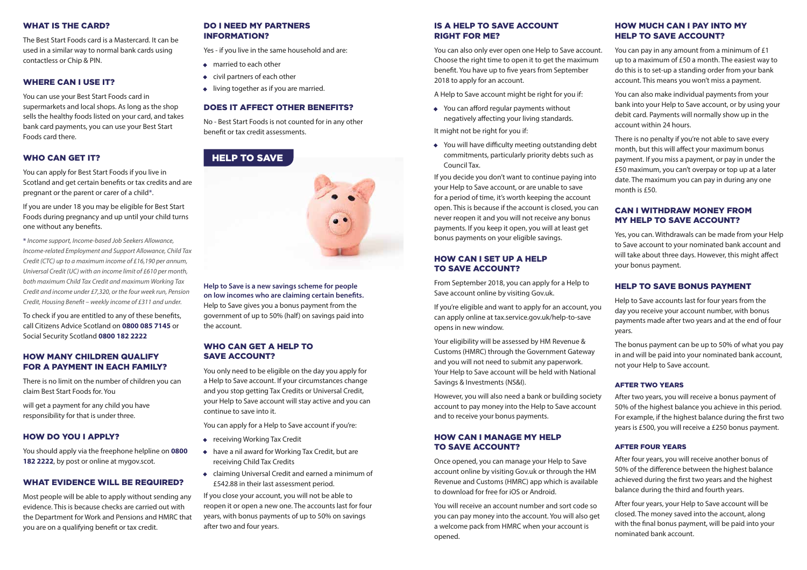**Help to Save is a new savings scheme for people on low incomes who are claiming certain benefits.**  Help to Save gives you a bonus payment from the government of up to 50% (half) on savings paid into the account.

#### WHO CAN GET A HELP TO SAVE ACCOUNT?

You only need to be eligible on the day you apply for a Help to Save account. If your circumstances change and you stop getting Tax Credits or Universal Credit, your Help to Save account will stay active and you can continue to save into it.

- receiving Working Tax Credit
- have a nil award for Working Tax Credit, but are receiving Child Tax Credits
- claiming Universal Credit and earned a minimum of £542.88 in their last assessment period.

You can apply for a Help to Save account if you're:

If you close your account, you will not be able to reopen it or open a new one. The accounts last for four years, with bonus payments of up to 50% on savings after two and four years.

#### IS A HELP TO SAVE ACCOUNT RIGHT FOR ME?

You can also only ever open one Help to Save account. Choose the right time to open it to get the maximum benefit. You have up to five years from September 2018 to apply for an account.

A Help to Save account might be right for you if:

• You can afford regular payments without negatively affecting your living standards.

It might not be right for you if:

• You will have difficulty meeting outstanding debt commitments, particularly priority debts such as Council Tax.

If you decide you don't want to continue paying into your Help to Save account, or are unable to save for a period of time, it's worth keeping the account open. This is because if the account is closed, you can never reopen it and you will not receive any bonus payments. If you keep it open, you will at least get bonus payments on your eligible savings.

#### HOW CAN I SET UP A HELP TO SAVE ACCOUNT?

From September 2018, you can apply for a Help to Save account online by visiting Gov.uk.

If you're eligible and want to apply for an account, you can apply online at tax.service.gov.uk/help-to-save opens in new window.

Your eligibility will be assessed by HM Revenue & Customs (HMRC) through the Government Gateway and you will not need to submit any paperwork. Your Help to Save account will be held with National Savings & Investments (NS&I).

However, you will also need a bank or building society account to pay money into the Help to Save account and to receive your bonus payments.

#### HOW CAN I MANAGE MY HELP TO SAVE ACCOUNT?

Once opened, you can manage your Help to Save account online by visiting Gov.uk or through the HM Revenue and Customs (HMRC) app which is available to download for free for iOS or Android.

You will receive an account number and sort code so you can pay money into the account. You will also get a welcome pack from HMRC when your account is opened.

# HELP TO SAVE



#### HOW MUCH CAN I PAY INTO MY HELP TO SAVE ACCOUNT?

You can pay in any amount from a minimum of £1 up to a maximum of £50 a month. The easiest way to do this is to set-up a standing order from your bank account. This means you won't miss a payment.

You can also make individual payments from your bank into your Help to Save account, or by using your debit card. Payments will normally show up in the account within 24 hours.

- married to each other
- civil partners of each other
- living together as if you are married.

There is no penalty if you're not able to save every month, but this will affect your maximum bonus payment. If you miss a payment, or pay in under the £50 maximum, you can't overpay or top up at a later date. The maximum you can pay in during any one month is £50.

# CAN I WITHDRAW MONEY FROM MY HELP TO SAVE ACCOUNT?

Yes, you can. Withdrawals can be made from your Help to Save account to your nominated bank account and will take about three days. However, this might affect your bonus payment.

# HELP TO SAVE BONUS PAYMENT

Help to Save accounts last for four years from the day you receive your account number, with bonus payments made after two years and at the end of four years.

The bonus payment can be up to 50% of what you pay in and will be paid into your nominated bank account, not your Help to Save account.

#### AFTER TWO YEARS

After two years, you will receive a bonus payment of 50% of the highest balance you achieve in this period. For example, if the highest balance during the first two years is £500, you will receive a £250 bonus payment.

#### AFTER FOUR YEARS

After four years, you will receive another bonus of 50% of the difference between the highest balance achieved during the first two years and the highest balance during the third and fourth years.

After four years, your Help to Save account will be closed. The money saved into the account, along with the final bonus payment, will be paid into your nominated bank account.

#### WHAT IS THE CARD?

The Best Start Foods card is a Mastercard. It can be used in a similar way to normal bank cards using contactless or Chip & PIN.

#### WHERE CAN I USE IT?

You can use your Best Start Foods card in supermarkets and local shops. As long as the shop sells the healthy foods listed on your card, and takes bank card payments, you can use your Best Start Foods card there.

#### WHO CAN GET IT?

You can apply for Best Start Foods if you live in Scotland and get certain benefits or tax credits and are pregnant or the parent or carer of a child\*.

If you are under 18 you may be eligible for Best Start Foods during pregnancy and up until your child turns one without any benefits.

\* *Income support, Income-based Job Seekers Allowance, Income-related Employment and Support Allowance, Child Tax Credit (CTC) up to a maximum income of £16,190 per annum, Universal Credit (UC) with an income limit of £610 per month, both maximum Child Tax Credit and maximum Working Tax Credit and income under £7,320, or the four week run, Pension Credit, Housing Benefit – weekly income of £311 and under.*

To check if you are entitled to any of these benefits, call Citizens Advice Scotland on **0800 085 7145** or Social Security Scotland **0800 182 2222**

#### HOW MANY CHILDREN QUALIFY FOR A PAYMENT IN EACH FAMILY?

There is no limit on the number of children you can claim Best Start Foods for. You

will get a payment for any child you have responsibility for that is under three.

#### HOW DO YOU I APPLY?

You should apply via the freephone helpline on **0800 182 2222**, by post or online at mygov.scot.

#### WHAT EVIDENCE WILL BE REQUIRED?

Most people will be able to apply without sending any evidence. This is because checks are carried out with the Department for Work and Pensions and HMRC that you are on a qualifying benefit or tax credit.

#### DO I NEED MY PARTNERS INFORMATION?

Yes - if you live in the same household and are:

#### DOES IT AFFECT OTHER BENEFITS?

No - Best Start Foods is not counted for in any other benefit or tax credit assessments.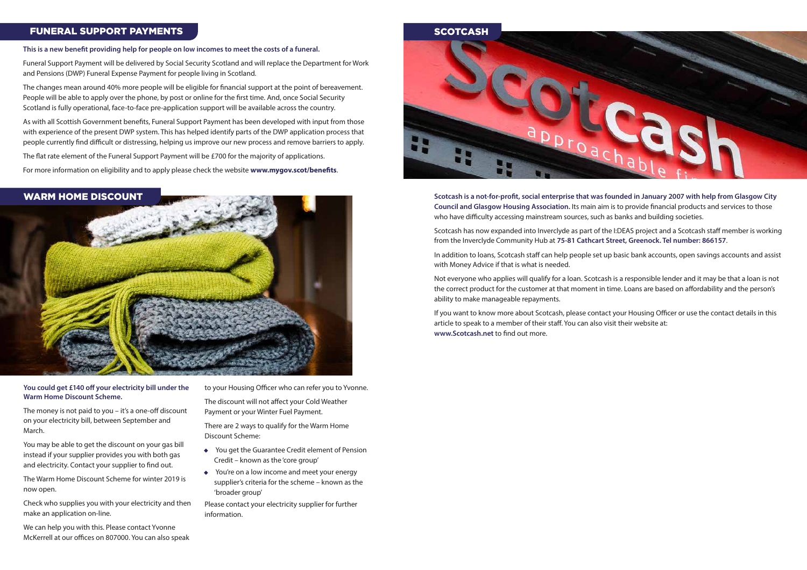#### **You could get £140 off your electricity bill under the Warm Home Discount Scheme.**

The money is not paid to you – it's a one-off discount on your electricity bill, between September and March.

You may be able to get the discount on your gas bill instead if your supplier provides you with both gas and electricity. Contact your supplier to find out.

The Warm Home Discount Scheme for winter 2019 is now open.

Check who supplies you with your electricity and then make an application on-line.

We can help you with this. Please contact Yvonne McKerrell at our offices on 807000. You can also speak **Scotcash is a not-for-profit, social enterprise that was founded in January 2007 with help from Glasgow City Council and Glasgow Housing Association.** Its main aim is to provide financial products and services to those who have difficulty accessing mainstream sources, such as banks and building societies.

Scotcash has now expanded into Inverclyde as part of the I:DEAS project and a Scotcash staff member is working from the Inverclyde Community Hub at **75-81 Cathcart Street, Greenock. Tel number: 866157**.

In addition to loans, Scotcash staff can help people set up basic bank accounts, open savings accounts and assist with Money Advice if that is what is needed.

Not everyone who applies will qualify for a loan. Scotcash is a responsible lender and it may be that a loan is not the correct product for the customer at that moment in time. Loans are based on affordability and the person's ability to make manageable repayments.

If you want to know more about Scotcash, please contact your Housing Officer or use the contact details in this article to speak to a member of their staff. You can also visit their website at: **www.Scotcash.net** to find out more.

#### WARM HOME DISCOUNT



# FUNERAL SUPPORT PAYMENTS THE RESERVE OF SCOTCASH

#### **This is a new benefit providing help for people on low incomes to meet the costs of a funeral.**

Funeral Support Payment will be delivered by Social Security Scotland and will replace the Department for Work and Pensions (DWP) Funeral Expense Payment for people living in Scotland.

The changes mean around 40% more people will be eligible for financial support at the point of bereavement. People will be able to apply over the phone, by post or online for the first time. And, once Social Security Scotland is fully operational, face-to-face pre-application support will be available across the country.

As with all Scottish Government benefits, Funeral Support Payment has been developed with input from those with experience of the present DWP system. This has helped identify parts of the DWP application process that people currently find difficult or distressing, helping us improve our new process and remove barriers to apply.

The flat rate element of the Funeral Support Payment will be £700 for the majority of applications.

For more information on eligibility and to apply please check the website **www.mygov.scot/benefits**.

to your Housing Officer who can refer you to Yvonne.

The discount will not affect your Cold Weather Payment or your Winter Fuel Payment.

There are 2 ways to qualify for the Warm Home Discount Scheme:

- You get the Guarantee Credit element of Pension Credit – known as the 'core group'
- You're on a low income and meet your energy supplier's criteria for the scheme – known as the 'broader group'

Please contact your electricity supplier for further information.